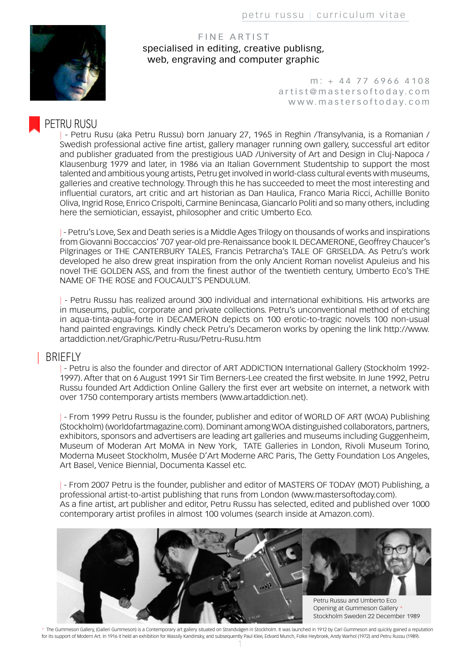

FINE ARTIST specialised in editing, creative publisng, web, engraving and computer graphic

> m: + 44 77 6966 4108 artist@mastersoftoday.com www.mastersoftoday.com

# | PETRU RUSU

- Petru Rusu (aka Petru Russu) born January 27, 1965 in Reghin /Transylvania, is a Romanian / Swedish professional active fine artist, gallery manager running own gallery, successful art editor and publisher graduated from the prestigious UAD /University of Art and Design in Cluj-Napoca / Klausenburg 1979 and later, in 1986 via an Italian Government Studentship to support the most talented and ambitious young artists, Petru get involved in world-class cultural events with museums, galleries and creative technology. Through this he has succeeded to meet the most interesting and influential curators, art critic and art historian as Dan Haulica, Franco Maria Ricci, Achillle Bonito Oliva, Ingrid Rose, Enrico Crispolti, Carmine Benincasa, Giancarlo Politi and so many others, including here the semiotician, essayist, philosopher and critic Umberto Eco.

| - Petru's Love, Sex and Death series is a Middle Ages Trilogy on thousands of works and inspirations from Giovanni Boccaccios' 707 year-old pre-Renaissance book IL DECAMERONE, Geoffrey Chaucer's Pilgrinages or THE CANTERBURY TALES, Francis Petrarcha's TALE OF GRISELDA. As Petru's work developed he also drew great inspiration from the only Ancient Roman novelist Apuleius and his novel THE GOLDEN ASS, and from the finest author of the twentieth century, Umberto Eco's THE NAME OF THE ROSE and FOUCAULT'S PENDULUM.

| - Petru Russu has realized around 300 individual and international exhibitions. His artworks are in museums, public, corporate and private collections. Petru's unconventional method of etching in aqua-tinta-aqua-forte in DECAMERON depicts on 100 erotic-to-tragic novels 100 non-usual hand painted engravings. Kindly check Petru's Decameron works by opening the link http://www. artaddiction.net/Graphic/Petru-Rusu/Petru-Rusu.htm

#### | BRIEFLY

|- Petru is also the founder and director of ART ADDICTION International Gallery (Stockholm 1992-1997). After that on 6 August 1991 Sir Tim Berners-Lee created the first website. In June 1992, Petru Russu founded Art Addiction Online Gallery the first ever art website on internet, a network with over 1750 contemporary artists members (www.artaddiction.net).

| - From 1999 Petru Russu is the founder, publisher and editor of WORLD OF ART (WOA) Publishing (Stockholm) (worldofartmagazine.com). Dominant among WOA distinguished collaborators, partners, exhibitors, sponsors and advertisers are leading art galleries and museums including Guggenheim, Museum of Moderan Art MoMA in New York, TATE Galleries in London, Rivoli Museum Torino, Moderna Museet Stockholm, Musée D'Art Moderne ARC Paris, The Getty Foundation Los Angeles, Art Basel, Venice Biennial, Documenta Kassel etc.

| - From 2007 Petru is the founder, publisher and editor of MASTERS OF TODAY (MOT) Publishing, a professional artist-to-artist publishing that runs from London (www.mastersoftoday.com). As a fine artist, art publisher and editor, Petru Russu has selected, edited and published over 1000 contemporary artist profiles in almost 100 volumes (search inside at Amazon.com).



\* The Gummeson Gallery, (Galleri Gummeson) is a Contemporary art gallery situated on Strandvägen in Stockholm. It was launched in 1912 by Carl Gummeson and quickly gained a reputation for its support of Modern Art. In 1916 it held an exhibition for Wassily Kandinsky, and subsequently Paul Klee, Edvard Munch, Folke Heybroek, Andy Warhol (1972) and Petru Russu (1989).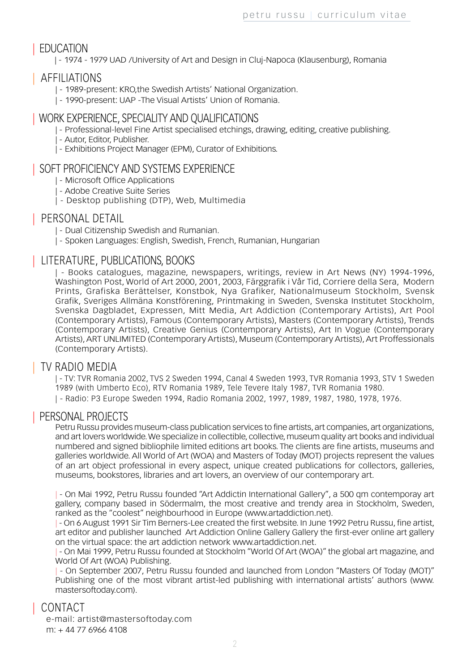# | EDUCATION

| - 1974 - 1979 UAD /University of Art and Design in Cluj-Napoca (Klausenburg), Romania

## | AFFILIATIONS

- | 1989-present: KRO,the Swedish Artists' National Organization.
- | 1990-present: UAP -The Visual Artists' Union of Romania.

# | WORK EXPERIENCE, SPECIALITY AND QUALIFICATIONS

- | Professional-level Fine Artist specialised etchings, drawing, editing, creative publishing.
- | Autor, Editor, Publisher.
- | Exhibitions Project Manager (EPM), Curator of Exhibitions.

## | SOFT PROFICIENCY AND SYSTEMS EXPERIENCE

- | Microsoft Office Applications
- | Adobe Creative Suite Series
- | Desktop publishing (DTP), Web, Multimedia

## | PERSONAL DETAIL

| - Dual Citizenship Swedish and Rumanian.

| - Spoken Languages: English, Swedish, French, Rumanian, Hungarian

# | LITERATURE, PUBLICATIONS, BOOKS

| - Books catalogues, magazine, newspapers, writings, review in Art News (NY) 1994-1996, Washington Post, World of Art 2000, 2001, 2003, Färggrafik i Vår Tid, Corriere della Sera, Modern Prints, Grafiska Berättelser, Konstbok, Nya Grafiker, Nationalmuseum Stockholm, Svensk Grafik, Sveriges Allmäna Konstförening, Printmaking in Sweden, Svenska Institutet Stockholm, Svenska Dagbladet, Expressen, Mitt Media, Art Addiction (Contemporary Artists), Art Pool (Contemporary Artists), Famous (Contemporary Artists), Masters (Contemporary Artists), Trends (Contemporary Artists), Creative Genius (Contemporary Artists), Art In Vogue (Contemporary Artists), ART UNLIMITED (Contemporary Artists), Museum (Contemporary Artists), Art Proffessionals (Contemporary Artists).

# | TV RADIO MEDIA

| - TV: TVR Romania 2002, TVS 2 Sweden 1994, Canal 4 Sweden 1993, TVR Romania 1993, STV 1 Sweden 1989 (with Umberto Eco), RTV Romania 1989, Tele Tevere Italy 1987, TVR Romania 1980.

| - Radio: P3 Europe Sweden 1994, Radio Romania 2002, 1997, 1989, 1987, 1980, 1978, 1976.

#### | PERSONAL PROJECTS

Petru Russu provides museum-class publication services to fine artists, art companies, art organizations, and art lovers worldwide. We specialize in collectible, collective, museum quality art books and individual numbered and signed bibliophile limited editions art books. The clients are fine artists, museums and galleries worldwide. All World of Art (WOA) and Masters of Today (MOT) projects represent the values of an art object professional in every aspect, unique created publications for collectors, galleries, museums, bookstores, libraries and art lovers, an overview of our contemporary art.

| - On Mai 1992, Petru Russu founded "Art Addictin International Gallery", a 500 qm contemporay art gallery, company based in Södermalm, the most creative and trendy area in Stockholm, Sweden, ranked as the "coolest" neighbourhood in Europe (www.artaddiction.net).

| - On 6 August 1991 Sir Tim Berners-Lee created the first website. In June 1992 Petru Russu, fine artist, art editor and publisher launched Art Addiction Online Gallery Gallery the first-ever online art gallery on the virtual space: the art addiction network www.artaddiction.net.

| - On Mai 1999, Petru Russu founded at Stockholm "World Of Art (WOA)" the global art magazine, and World Of Art (WOA) Publishing.

| - On September 2007, Petru Russu founded and launched from London "Masters Of Today (MOT)" Publishing one of the most vibrant artist-led publishing with international artists' authors (www. mastersoftoday.com).

# | CONTACT

e-mail: artist@mastersoftoday.com m: + 44 77 6966 4108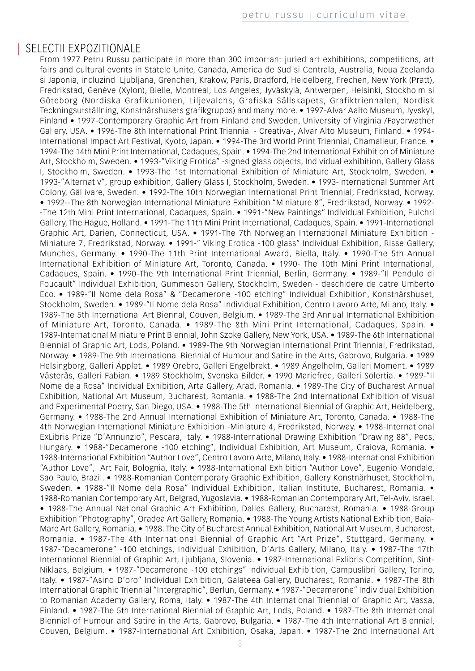#### SELECTII EXPOZITIONALE

From 1977 Petru Russu participate in more than 300 important juried art exhibitions, competitions, art fairs and cultural events in Statele Unite, Canada, America de Sud si Centrala, Australia, Noua Zeelanda si Japonia, incluzind Ljubljana, Grenchen, Krakow, Paris, Bradford, Heidelberg, Frechen, New York (Pratt), Fredrikstad, Genéve (Xylon), Bielle, Montreal, Los Angeles, Jyväskylä, Antwerpen, Helsinki, Stockholm si Göteborg (Nordiska Grafikunionen, Liljevalchs, Grafiska Sällskapets, Grafiktriennalen, Nordisk Teckningsutställning, Konstnärshusets grafikgrupps) and many more. • 1997-Alvar Aalto Museum, Jyvskyl, Finland • 1997-Contemporary Graphic Art from Finland and Sweden, University of Virginia /Fayerwather Gallery, USA. • 1996-The 8th International Print Triennial - Creativa-, Alvar Alto Museum, Finland. • 1994- International Impact Art Festival, Kyoto, Japan. • 1994-The 3rd World Print Triennial, Chamalieur, France. • 1994-The 14th Mini Print International, Cadaques, Spain. • 1994-The 2nd International Exhibition of Miniature Art, Stockholm, Sweden. • 1993-"Viking Erotica" -signed glass objects, Individual exhibition, Gallery Glass I, Stockholm, Sweden. • 1993-The 1st International Exhibition of Miniature Art, Stockholm, Sweden. • 1993-"Alternativ", group exhibition, Gallery Glass I, Stockholm, Sweden. • 1993-International Summer Art Colony, Gällivare, Sweden. • 1992-The 10th Norwegian International Print Triennial, Fredrikstad, Norway. • 1992--The 8th Norwegian International Miniature Exhibition "Miniature 8", Fredrikstad, Norway. • 1992- -The 12th Mini Print International, Cadaques, Spain. • 1991-"New Paintings" Individual Exhibition, Pulchri Gallery, The Hague, Holland. • 1991-The 11th Mini Print International, Cadaques, Spain. • 1991-International Graphic Art, Darien, Connecticut, USA. • 1991-The 7th Norwegian International Miniature Exhibition - Miniature 7, Fredrikstad, Norway. • 1991-" Viking Erotica -100 glass" Individual Exhibition, Risse Gallery, Munches, Germany. • 1990-The 11th Print International Award, Biella, Italy. • 1990-The 5th Annual International Exhibition of Miniature Art, Toronto, Canada. • 1990- The 10th Mini Print International, Cadaques, Spain. • 1990-The 9th International Print Triennial, Berlin, Germany. • 1989-"Il Pendulo di Foucault" Individual Exhibition, Gummeson Gallery, Stockholm, Sweden - deschidere de catre Umberto Eco. • 1989-"Il Nome dela Rosa" & "Decamerone -100 etching" Individual Exhibition, Konstnärshuset, Stockholm, Sweden. • 1989-"Il Nome dela Rosa" Individual Exhibition, Centro Lavoro Arte, Milano, Italy. • 1989-The 5th International Art Biennal, Couven, Belgium. • 1989-The 3rd Annual International Exhibition of Miniature Art, Toronto, Canada. • 1989-The 8th Mini Print International, Cadaques, Spain. • 1989-International Miniature Print Biennial, John Szoke Gallery, New York, USA. • 1989-The 6th International Biennial of Graphic Art, Lods, Poland. • 1989-The 9th Norwegian International Print Triennial, Fredrikstad, Norway. • 1989-The 9th International Biennial of Humour and Satire in the Arts, Gabrovo, Bulgaria. • 1989 Helsingborg, Galleri Äpplet. • 1989 Örebro, Galleri Engelbrekt. • 1989 Ängelholm, Galleri Moment. • 1989 Västerås, Galleri Fabian. • 1989 Stockholm, Svenska Bilder. • 1990 Mariefred, Galleri Solertia. • 1989-"Il Nome dela Rosa" Individual Exhibition, Arta Gallery, Arad, Romania. • 1989-The City of Bucharest Annual Exhibition, National Art Museum, Bucharest, Romania. • 1988-The 2nd International Exhibition of Visual and Experimental Poetry, San Diego, USA. • 1988-The 5th International Biennial of Graphic Art, Heidelberg, Germany. • 1988-The 2nd Annual International Exhibition of Miniature Art, Toronto, Canada. • 1988-The 4th Norwegian International Miniature Exhibition -Miniature 4, Fredrikstad, Norway. • 1988-International ExLibris Prize "D'Annunzio", Pescara, Italy. • 1988-International Drawing Exhibition "Drawing 88", Pecs, Hungary. • 1988-"Decamerone -100 etching", Individual Exhibition, Art Museum, Craiova, Romania. • 1988-International Exhibition "Author Love", Centro Lavoro Arte, Milano, Italy. • 1988-International Exhibition "Author Love", Art Fair, Bolognia, Italy. • 1988-International Exhibition "Author Love", Eugenio Mondale, Sao Paulo, Brazil. • 1988-Romanian Contemporary Graphic Exhibition, Gallery Konstnärhuset, Stockholm, Sweden. • 1988-"Il Nome dela Rosa" Individual Exhibition, Italian Institute, Bucharest, Romania. • 1988-Romanian Contemporary Art, Belgrad, Yugoslavia. • 1988-Romanian Contemporary Art, Tel-Aviv, Israel. • 1988-The Annual National Graphic Art Exhibition, Dalles Gallery, Bucharest, Romania. • 1988-Group Exhibition "Photography", Oradea Art Gallery, Romania. • 1988-The Young Artists National Exhibition, Baia-Mare Art Gallery, Romania. • 1988. The City of Bucharest Annual Exhibition, National Art Museum, Bucharest, Romania. • 1987-The 4th International Biennial of Graphic Art "Art Prize", Stuttgard, Germany. • 1987-"Decamerone" -100 etchings, Individual Exhibition, D'Arts Gallery, Milano, Italy. • 1987-The 17th International Biennial of Graphic Art, Ljubljana, Slovenia. • 1987-International Exlibris Competition, Sint-Niklaas, Belgium. • 1987-"Decamerone -100 etchings" Individual Exhibition, Campuslibri Gallery, Torino, Italy. • 1987-"Asino D'oro" Individual Exhibition, Galateea Gallery, Bucharest, Romania. • 1987-The 8th International Graphic Triennial "Intergraphic", Berlun, Germany. • 1987-"Decamerone" Individual Exhibition to Romanian Academy Gallery, Roma, Italy. • 1987-The 4th International Triennial of Graphic Art, Vassa, Finland. • 1987-The 5th International Biennial of Graphic Art, Lods, Poland. • 1987-The 8th International Biennial of Humour and Satire in the Arts, Gabrovo, Bulgaria. • 1987-The 4th International Art Biennial, Couven, Belgium. • 1987-International Art Exhibition, Osaka, Japan. • 1987-The 2nd International Art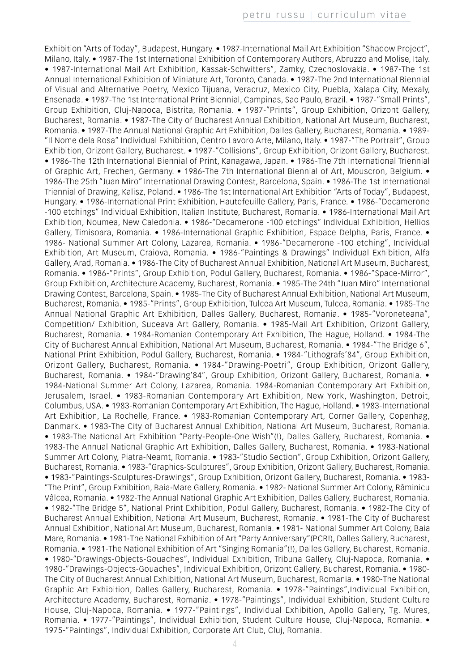Exhibition "Arts of Today", Budapest, Hungary. • 1987-International Mail Art Exhibition "Shadow Project", Milano, Italy. • 1987-The 1st International Exhibition of Contemporary Authors, Abruzzo and Molise, Italy. • 1987-International Mail Art Exhibition, Kassak-Schwitters", Zamky, Czechoslovakia. • 1987-The 1st Annual International Exhibition of Miniature Art, Toronto, Canada. • 1987-The 2nd International Biennial of Visual and Alternative Poetry, Mexico Tijuana, Veracruz, Mexico City, Puebla, Xalapa City, Mexaly, Ensenada. • 1987-The 1st International Print Biennial, Campinas, Sao Paulo, Brazil. • 1987-"Small Prints", Group Exhibition, Cluj-Napoca, Bistrita, Romania. • 1987-"Prints", Group Exhibition, Orizont Gallery, Bucharest, Romania. • 1987-The City of Bucharest Annual Exhibition, National Art Museum, Bucharest, Romania. • 1987-The Annual National Graphic Art Exhibition, Dalles Gallery, Bucharest, Romania. • 1989- "Il Nome dela Rosa" Individual Exhibition, Centro Lavoro Arte, Milano, Italy. • 1987-"The Portrait", Group Exhibition, Orizont Gallery, Bucharest. • 1987-"Collisions", Group Exhibition, Orizont Gallery, Bucharest. • 1986-The 12th International Biennial of Print, Kanagawa, Japan. • 1986-The 7th International Triennial of Graphic Art, Frechen, Germany. • 1986-The 7th International Biennial of Art, Mouscron, Belgium. • 1986-The 25th "Juan Miro" International Drawing Contest, Barcelona, Spain. • 1986-The 1st International Triennial of Drawing, Kalisz, Poland. • 1986-The 1st International Art Exhibition "Arts of Today", Budapest, Hungary. • 1986-International Print Exhibition, Hautefeuille Gallery, Paris, France. • 1986-"Decamerone -100 etchings" Individual Exhibition, Italian Institute, Bucharest, Romania. • 1986-International Mail Art Exhibition, Noumea, New Caledonia. • 1986-"Decamerone -100 etchings" Individual Exhibition, Hellios Gallery, Timisoara, Romania. • 1986-International Graphic Exhibition, Espace Delpha, Paris, France. • 1986- National Summer Art Colony, Lazarea, Romania. • 1986-"Decamerone -100 etching", Individual Exhibition, Art Museum, Craiova, Romania. • 1986-"Paintings & Drawings" Individual Exhibition, Alfa Gallery, Arad, Romania. • 1986-The City of Bucharest Annual Exhibition, National Art Museum, Bucharest, Romania. • 1986-"Prints", Group Exhibition, Podul Gallery, Bucharest, Romania. • 1986-"Space-Mirror", Group Exhibition, Architecture Academy, Bucharest, Romania. • 1985-The 24th "Juan Miro" International Drawing Contest, Barcelona, Spain. • 1985-The City of Bucharest Annual Exhibition, National Art Museum, Bucharest, Romania. • 1985-"Prints", Group Exhibition, Tulcea Art Museum, Tulcea, Romania. • 1985-The Annual National Graphic Art Exhibition, Dalles Gallery, Bucharest, Romania. • 1985-"Voroneteana", Competition/ Exhibition, Suceava Art Gallery, Romania. • 1985-Mail Art Exhibition, Orizont Gallery, Bucharest, Romania. • 1984-Romanian Contemporary Art Exhibition, The Hague, Holland. • 1984-The City of Bucharest Annual Exhibition, National Art Museum, Bucharest, Romania. • 1984-"The Bridge 6", National Print Exhibition, Podul Gallery, Bucharest, Romania. • 1984-"Lithografs'84", Group Exhibition, Orizont Gallery, Bucharest, Romania. • 1984-"Drawing-Poetri", Group Exhibition, Orizont Gallery, Bucharest, Romania. • 1984-"Drawing'84", Group Exhibition, Orizont Gallery, Bucharest, Romania. • 1984-National Summer Art Colony, Lazarea, Romania. 1984-Romanian Contemporary Art Exhibition, Jerusalem, Israel. • 1983-Romanian Contemporary Art Exhibition, New York, Washington, Detroit, Columbus, USA. • 1983-Romanian Contemporary Art Exhibition, The Hague, Holland. • 1983-International Art Exhibition, La Rochelle, France. • 1983-Romanian Contemporary Art, Corner Gallery, Copenhag, Danmark. • 1983-The City of Bucharest Annual Exhibition, National Art Museum, Bucharest, Romania. • 1983-The National Art Exhibition "Party-People-One Wish"(!), Dalles Gallery, Bucharest, Romania. • 1983-The Annual National Graphic Art Exhibition, Dalles Gallery, Bucharest, Romania. • 1983-National Summer Art Colony, Piatra-Neamt, Romania. • 1983-"Studio Section", Group Exhibition, Orizont Gallery, Bucharest, Romania. • 1983-"Graphics-Sculptures", Group Exhibition, Orizont Gallery, Bucharest, Romania. • 1983-"Paintings-Sculptures-Drawings", Group Exhibition, Orizont Gallery, Bucharest, Romania. • 1983- "The Print", Group Exhibition, Baia-Mare Gallery, Romania. • 1982- National Summer Art Colony, Râminicu Vâlcea, Romania. • 1982-The Annual National Graphic Art Exhibition, Dalles Gallery, Bucharest, Romania. • 1982-"The Bridge 5", National Print Exhibition, Podul Gallery, Bucharest, Romania. • 1982-The City of Bucharest Annual Exhibition, National Art Museum, Bucharest, Romania. • 1981-The City of Bucharest Annual Exhibition, National Art Museum, Bucharest, Romania. • 1981- National Summer Art Colony, Baia Mare, Romania. • 1981-The National Exhibition of Art "Party Anniversary"(PCR!), Dalles Gallery, Bucharest, Romania. • 1981-The National Exhibition of Art "Singing Romania"(!), Dalles Gallery, Bucharest, Romania. • 1980-"Drawings-Objects-Gouaches", Individual Exhibition, Tribuna Gallery, Cluj-Napoca, Romania. • 1980-"Drawings-Objects-Gouaches", Individual Exhibition, Orizont Gallery, Bucharest, Romania. • 1980- The City of Bucharest Annual Exhibition, National Art Museum, Bucharest, Romania. • 1980-The National Graphic Art Exhibition, Dalles Gallery, Bucharest, Romania. • 1978-"Paintings",Individual Exhibition, Architecture Academy, Bucharest, Romania. • 1978-"Paintings", Individual Exhibition, Student Culture House, Cluj-Napoca, Romania. • 1977-"Paintings", Individual Exhibition, Apollo Gallery, Tg. Mures, Romania. • 1977-"Paintings", Individual Exhibition, Student Culture House, Cluj-Napoca, Romania. • 1975-"Paintings", Individual Exhibition, Corporate Art Club, Cluj, Romania.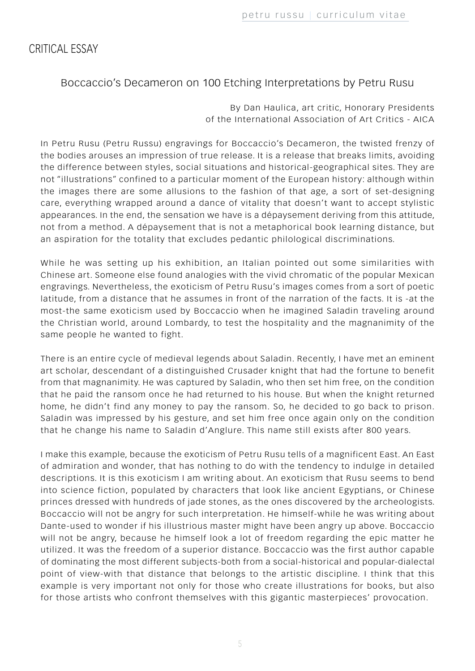# CRITICAL ESSAY

# Boccaccio's Decameron on 100 Etching Interpretations by Petru Rusu

By Dan Haulica, art critic, Honorary Presidents of the International Association of Art Critics - AICA

In Petru Rusu (Petru Russu) engravings for Boccaccio's Decameron, the twisted frenzy of the bodies arouses an impression of true release. It is a release that breaks limits, avoiding the difference between styles, social situations and historical-geographical sites. They are not "illustrations" confined to a particular moment of the European history: although within the images there are some allusions to the fashion of that age, a sort of set-designing care, everything wrapped around a dance of vitality that doesn't want to accept stylistic appearances. In the end, the sensation we have is a dépaysement deriving from this attitude, not from a method. A dépaysement that is not a metaphorical book learning distance, but an aspiration for the totality that excludes pedantic philological discriminations.

While he was setting up his exhibition, an Italian pointed out some similarities with Chinese art. Someone else found analogies with the vivid chromatic of the popular Mexican engravings. Nevertheless, the exoticism of Petru Rusu's images comes from a sort of poetic latitude, from a distance that he assumes in front of the narration of the facts. It is -at the most-the same exoticism used by Boccaccio when he imagined Saladin traveling around the Christian world, around Lombardy, to test the hospitality and the magnanimity of the same people he wanted to fight.

There is an entire cycle of medieval legends about Saladin. Recently, I have met an eminent art scholar, descendant of a distinguished Crusader knight that had the fortune to benefit from that magnanimity. He was captured by Saladin, who then set him free, on the condition that he paid the ransom once he had returned to his house. But when the knight returned home, he didn't find any money to pay the ransom. So, he decided to go back to prison. Saladin was impressed by his gesture, and set him free once again only on the condition that he change his name to Saladin d'Anglure. This name still exists after 800 years.

I make this example, because the exoticism of Petru Rusu tells of a magnificent East. An East of admiration and wonder, that has nothing to do with the tendency to indulge in detailed descriptions. It is this exoticism I am writing about. An exoticism that Rusu seems to bend into science fiction, populated by characters that look like ancient Egyptians, or Chinese princes dressed with hundreds of jade stones, as the ones discovered by the archeologists. Boccaccio will not be angry for such interpretation. He himself-while he was writing about Dante-used to wonder if his illustrious master might have been angry up above. Boccaccio will not be angry, because he himself look a lot of freedom regarding the epic matter he utilized. It was the freedom of a superior distance. Boccaccio was the first author capable of dominating the most different subjects-both from a social-historical and popular-dialectal point of view-with that distance that belongs to the artistic discipline. I think that this example is very important not only for those who create illustrations for books, but also for those artists who confront themselves with this gigantic masterpieces' provocation.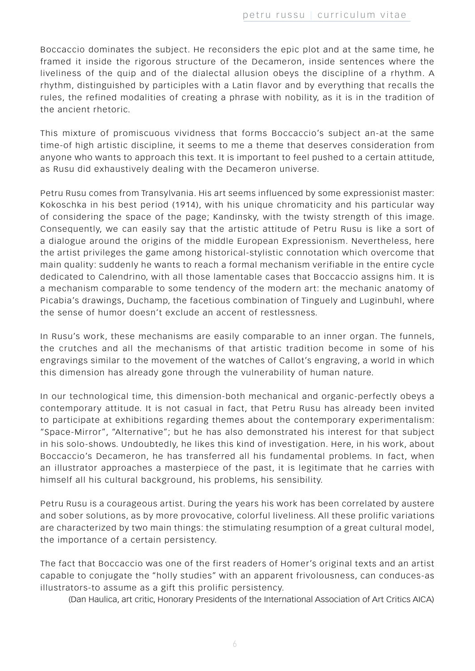Boccaccio dominates the subject. He reconsiders the epic plot and at the same time, he framed it inside the rigorous structure of the Decameron, inside sentences where the liveliness of the quip and of the dialectal allusion obeys the discipline of a rhythm. A rhythm, distinguished by participles with a Latin flavor and by everything that recalls the rules, the refined modalities of creating a phrase with nobility, as it is in the tradition of the ancient rhetoric.

This mixture of promiscuous vividness that forms Boccaccio's subject an-at the same time-of high artistic discipline, it seems to me a theme that deserves consideration from anyone who wants to approach this text. It is important to feel pushed to a certain attitude, as Rusu did exhaustively dealing with the Decameron universe.

Petru Rusu comes from Transylvania. His art seems influenced by some expressionist master: Kokoschka in his best period (1914), with his unique chromaticity and his particular way of considering the space of the page; Kandinsky, with the twisty strength of this image. Consequently, we can easily say that the artistic attitude of Petru Rusu is like a sort of a dialogue around the origins of the middle European Expressionism. Nevertheless, here the artist privileges the game among historical-stylistic connotation which overcome that main quality: suddenly he wants to reach a formal mechanism verifiable in the entire cycle dedicated to Calendrino, with all those lamentable cases that Boccaccio assigns him. It is a mechanism comparable to some tendency of the modern art: the mechanic anatomy of Picabia's drawings, Duchamp, the facetious combination of Tinguely and Luginbuhl, where the sense of humor doesn't exclude an accent of restlessness.

In Rusu's work, these mechanisms are easily comparable to an inner organ. The funnels, the crutches and all the mechanisms of that artistic tradition become in some of his engravings similar to the movement of the watches of Callot's engraving, a world in which this dimension has already gone through the vulnerability of human nature.

In our technological time, this dimension-both mechanical and organic-perfectly obeys a contemporary attitude. It is not casual in fact, that Petru Rusu has already been invited to participate at exhibitions regarding themes about the contemporary experimentalism: "Space-Mirror", "Alternative"; but he has also demonstrated his interest for that subject in his solo-shows. Undoubtedly, he likes this kind of investigation. Here, in his work, about Boccaccio's Decameron, he has transferred all his fundamental problems. In fact, when an illustrator approaches a masterpiece of the past, it is legitimate that he carries with himself all his cultural background, his problems, his sensibility.

Petru Rusu is a courageous artist. During the years his work has been correlated by austere and sober solutions, as by more provocative, colorful liveliness. All these prolific variations are characterized by two main things: the stimulating resumption of a great cultural model, the importance of a certain persistency.

The fact that Boccaccio was one of the first readers of Homer's original texts and an artist capable to conjugate the "holly studies" with an apparent frivolousness, can conduces-as illustrators-to assume as a gift this prolific persistency.

(Dan Haulica, art critic, Honorary Presidents of the International Association of Art Critics AICA)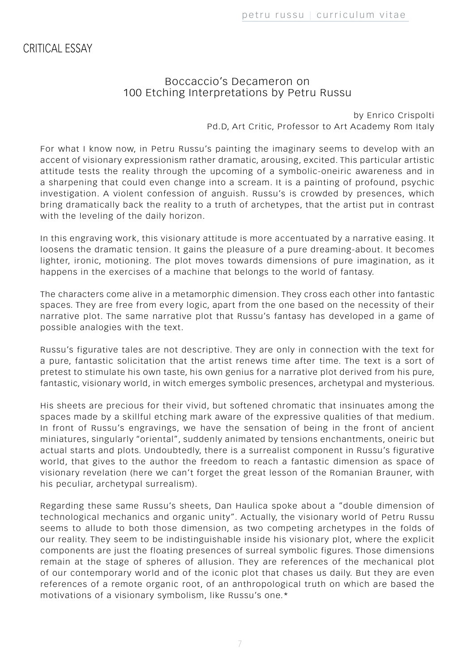CRITICAL ESSAY

#### Boccaccio's Decameron on 100 Etching Interpretations by Petru Russu

by Enrico Crispolti Pd.D, Art Critic, Professor to Art Academy Rom Italy

For what I know now, in Petru Russu's painting the imaginary seems to develop with an accent of visionary expressionism rather dramatic, arousing, excited. This particular artistic attitude tests the reality through the upcoming of a symbolic-oneiric awareness and in a sharpening that could even change into a scream. It is a painting of profound, psychic investigation. A violent confession of anguish. Russu's is crowded by presences, which bring dramatically back the reality to a truth of archetypes, that the artist put in contrast with the leveling of the daily horizon.

In this engraving work, this visionary attitude is more accentuated by a narrative easing. It loosens the dramatic tension. It gains the pleasure of a pure dreaming-about. It becomes lighter, ironic, motioning. The plot moves towards dimensions of pure imagination, as it happens in the exercises of a machine that belongs to the world of fantasy.

The characters come alive in a metamorphic dimension. They cross each other into fantastic spaces. They are free from every logic, apart from the one based on the necessity of their narrative plot. The same narrative plot that Russu's fantasy has developed in a game of possible analogies with the text.

Russu's figurative tales are not descriptive. They are only in connection with the text for a pure, fantastic solicitation that the artist renews time after time. The text is a sort of pretest to stimulate his own taste, his own genius for a narrative plot derived from his pure, fantastic, visionary world, in witch emerges symbolic presences, archetypal and mysterious.

His sheets are precious for their vivid, but softened chromatic that insinuates among the spaces made by a skillful etching mark aware of the expressive qualities of that medium. In front of Russu's engravings, we have the sensation of being in the front of ancient miniatures, singularly "oriental", suddenly animated by tensions enchantments, oneiric but actual starts and plots. Undoubtedly, there is a surrealist component in Russu's figurative world, that gives to the author the freedom to reach a fantastic dimension as space of visionary revelation (here we can't forget the great lesson of the Romanian Brauner, with his peculiar, archetypal surrealism).

Regarding these same Russu's sheets, Dan Haulica spoke about a "double dimension of technological mechanics and organic unity". Actually, the visionary world of Petru Russu seems to allude to both those dimension, as two competing archetypes in the folds of our reality. They seem to be indistinguishable inside his visionary plot, where the explicit components are just the floating presences of surreal symbolic figures. Those dimensions remain at the stage of spheres of allusion. They are references of the mechanical plot of our contemporary world and of the iconic plot that chases us daily. But they are even references of a remote organic root, of an anthropological truth on which are based the motivations of a visionary symbolism, like Russu's one.\*